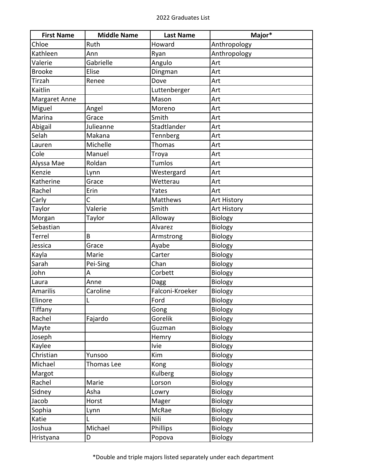| <b>First Name</b> | <b>Middle Name</b> | <b>Last Name</b> | Major*         |
|-------------------|--------------------|------------------|----------------|
| Chloe             | Ruth               | Howard           | Anthropology   |
| Kathleen          | Ann                | Ryan             | Anthropology   |
| Valerie           | Gabrielle          | Angulo           | Art            |
| <b>Brooke</b>     | Elise              | Dingman          | Art            |
| Tirzah            | Renee              | Dove             | Art            |
| Kaitlin           |                    | Luttenberger     | Art            |
| Margaret Anne     |                    | Mason            | Art            |
| Miguel            | Angel              | Moreno           | Art            |
| Marina            | Grace              | Smith            | Art            |
| Abigail           | Julieanne          | Stadtlander      | Art            |
| Selah             | Makana             | Tennberg         | Art            |
| Lauren            | Michelle           | <b>Thomas</b>    | Art            |
| Cole              | Manuel             | Troya            | Art            |
| Alyssa Mae        | Roldan             | <b>Tumlos</b>    | Art            |
| Kenzie            | Lynn               | Westergard       | Art            |
| Katherine         | Grace              | Wetterau         | Art            |
| Rachel            | Erin               | Yates            | Art            |
| Carly             | Ċ                  | Matthews         | Art History    |
| Taylor            | Valerie            | Smith            | Art History    |
| Morgan            | Taylor             | Alloway          | Biology        |
| Sebastian         |                    | Alvarez          | Biology        |
| Terrel            | B                  | Armstrong        | Biology        |
| Jessica           | Grace              | Ayabe            | Biology        |
| Kayla             | Marie              | Carter           | Biology        |
| Sarah             | Pei-Sing           | Chan             | Biology        |
| John              | Α                  | Corbett          | Biology        |
| Laura             | Anne               | Dagg             | Biology        |
| Amarilis          | Caroline           | Falconi-Kroeker  | Biology        |
| Elinore           | L                  | Ford             | <b>Biology</b> |
| Tiffany           |                    | Gong             | Biology        |
| Rachel            | Fajardo            | Gorelik          | Biology        |
| Mayte             |                    | Guzman           | <b>Biology</b> |
| Joseph            |                    | Hemry            | Biology        |
| Kaylee            |                    | <b>Ivie</b>      | Biology        |
| Christian         | Yunsoo             | Kim              | Biology        |
| Michael           | Thomas Lee         | Kong             | Biology        |
| Margot            |                    | Kulberg          | Biology        |
| Rachel            | Marie              | Lorson           | Biology        |
| Sidney            | Asha               | Lowry            | Biology        |
| Jacob             | Horst              | Mager            | Biology        |
| Sophia            | Lynn               | McRae            | Biology        |
| Katie             | L                  | Nili             | Biology        |
| Joshua            | Michael            | Phillips         | <b>Biology</b> |
| Hristyana         | D                  | Popova           | Biology        |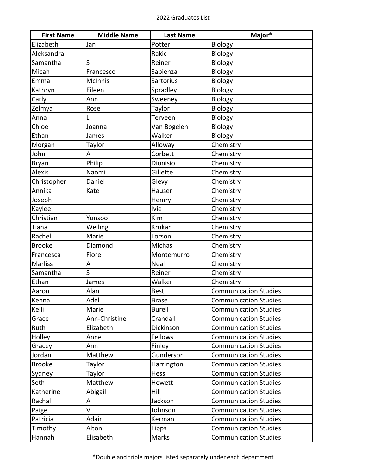| <b>First Name</b> | <b>Middle Name</b> | <b>Last Name</b> | Major*                       |
|-------------------|--------------------|------------------|------------------------------|
| Elizabeth         | Jan                | Potter           | Biology                      |
| Aleksandra        |                    | Rakic            | Biology                      |
| Samantha          | S                  | Reiner           | Biology                      |
| Micah             | Francesco          | Sapienza         | Biology                      |
| Emma              | <b>McInnis</b>     | Sartorius        | Biology                      |
| Kathryn           | Eileen             | Spradley         | Biology                      |
| Carly             | Ann                | Sweeney          | Biology                      |
| Zelmya            | Rose               | Taylor           | Biology                      |
| Anna              | Li                 | Terveen          | Biology                      |
| Chloe             | Joanna             | Van Bogelen      | Biology                      |
| Ethan             | James              | Walker           | Biology                      |
| Morgan            | Taylor             | Alloway          | Chemistry                    |
| John              | А                  | Corbett          | Chemistry                    |
| <b>Bryan</b>      | Philip             | Dionisio         | Chemistry                    |
| <b>Alexis</b>     | Naomi              | Gillette         | Chemistry                    |
| Christopher       | Daniel             | Glevy            | Chemistry                    |
| Annika            | Kate               | Hauser           | Chemistry                    |
| Joseph            |                    | Hemry            | Chemistry                    |
| Kaylee            |                    | <b>Ivie</b>      | Chemistry                    |
| Christian         | Yunsoo             | Kim              | Chemistry                    |
| Tiana             | Weiling            | Krukar           | Chemistry                    |
| Rachel            | Marie              | Lorson           | Chemistry                    |
| <b>Brooke</b>     | Diamond            | Michas           | Chemistry                    |
| Francesca         | Fiore              | Montemurro       | Chemistry                    |
| <b>Marliss</b>    | А                  | Neal             | Chemistry                    |
| Samantha          | S                  | Reiner           | Chemistry                    |
| Ethan             | James              | Walker           | Chemistry                    |
| Aaron             | Alan               | <b>Best</b>      | <b>Communication Studies</b> |
| Kenna             | Adel               | <b>Brase</b>     | Communication Studies        |
| Kelli             | Marie              | <b>Burell</b>    | <b>Communication Studies</b> |
| Grace             | Ann-Christine      | Crandall         | <b>Communication Studies</b> |
| Ruth              | Elizabeth          | Dickinson        | <b>Communication Studies</b> |
| Holley            | Anne               | Fellows          | <b>Communication Studies</b> |
| Gracey            | Ann                | Finley           | <b>Communication Studies</b> |
| Jordan            | Matthew            | Gunderson        | <b>Communication Studies</b> |
| <b>Brooke</b>     | Taylor             | Harrington       | <b>Communication Studies</b> |
| Sydney            | Taylor             | Hess             | <b>Communication Studies</b> |
| Seth              | Matthew            | Hewett           | <b>Communication Studies</b> |
| Katherine         | Abigail            | Hill             | <b>Communication Studies</b> |
| Rachal            | А                  | Jackson          | <b>Communication Studies</b> |
| Paige             | V                  | Johnson          | <b>Communication Studies</b> |
| Patricia          | Adair              | Kerman           | <b>Communication Studies</b> |
| Timothy           | Alton              | Lipps            | <b>Communication Studies</b> |
| Hannah            | Elisabeth          | Marks            | <b>Communication Studies</b> |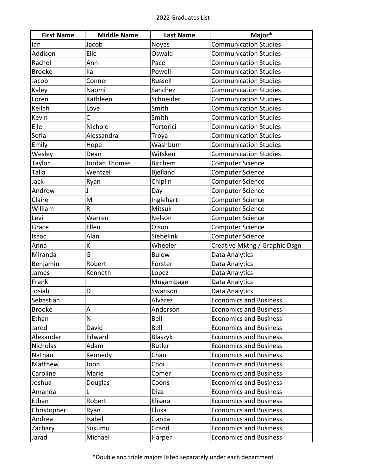| <b>First Name</b> | <b>Middle Name</b> | <b>Last Name</b> | Major*                        |
|-------------------|--------------------|------------------|-------------------------------|
| lan               | Jacob              | Noyes            | <b>Communication Studies</b>  |
| Addison           | Elle               | Oswald           | <b>Communication Studies</b>  |
| Rachel            | Ann                | Pace             | <b>Communication Studies</b>  |
| <b>Brooke</b>     | Ila                | Powell           | <b>Communication Studies</b>  |
| Jacob             | Conner             | Russell          | <b>Communication Studies</b>  |
| Kaley             | Naomi              | Sanchez          | <b>Communication Studies</b>  |
| Loren             | Kathleen           | Schneider        | <b>Communication Studies</b>  |
| Keilah            | Love               | Smith            | <b>Communication Studies</b>  |
| Kevin             | C                  | Smith            | <b>Communication Studies</b>  |
| Elle              | Nichole            | Tortorici        | <b>Communication Studies</b>  |
| Sofia             | Alessandra         | Troya            | <b>Communication Studies</b>  |
| Emily             | Hope               | Washburn         | <b>Communication Studies</b>  |
| Wesley            | Dean               | Witsken          | <b>Communication Studies</b>  |
| Taylor            | Jordan Thomas      | <b>Birchem</b>   | <b>Computer Science</b>       |
| Talia             | Wentzel            | <b>Bjelland</b>  | <b>Computer Science</b>       |
| Jack              | Ryan               | Chiplin          | Computer Science              |
| Andrew            |                    | Day              | <b>Computer Science</b>       |
| Claire            | M                  | Inglehart        | Computer Science              |
| William           | $\mathsf R$        | Mitsuk           | <b>Computer Science</b>       |
| Levi              | Warren             | Nelson           | <b>Computer Science</b>       |
| Grace             | Ellen              | Olson            | <b>Computer Science</b>       |
| Isaac             | Alan               | Siebelink        | Computer Science              |
| Anna              | К                  | Wheeler          | Creative Mktng / Graphic Dsgn |
| Miranda           | G                  | <b>Bulow</b>     | Data Analytics                |
| Benjamin          | Robert             | Forster          | Data Analytics                |
| James             | Kenneth            | Lopez            | Data Analytics                |
| Frank             |                    | Mugambage        | Data Analytics                |
| Josiah            | D                  | Swanson          | Data Analytics                |
| Sebastian         |                    | Alvarez          | Economics and Business        |
| <b>Brooke</b>     | A                  | Anderson         | <b>Economics and Business</b> |
| Ethan             | N                  | Bell             | <b>Economics and Business</b> |
| Jared             | David              | Bell             | <b>Economics and Business</b> |
| Alexander         | Edward             | Blaszyk          | <b>Economics and Business</b> |
| <b>Nicholas</b>   | Adam               | <b>Butler</b>    | <b>Economics and Business</b> |
| Nathan            | Kennedy            | Chan             | <b>Economics and Business</b> |
| Matthew           | Joon               | Choi             | <b>Economics and Business</b> |
| Caroline          | Marie              | Comer            | <b>Economics and Business</b> |
| Joshua            | Douglas            | Coons            | <b>Economics and Business</b> |
| Amanda            |                    | Diaz             | <b>Economics and Business</b> |
| Ethan             | Robert             | Elisara          | <b>Economics and Business</b> |
| Christopher       | Ryan               | Fluxa            | <b>Economics and Business</b> |
| Andrea            | Isabel             | Garcia           | <b>Economics and Business</b> |
| Zachary           | Susumu             | Grand            | <b>Economics and Business</b> |
| Jarad             | Michael            | Harper           | <b>Economics and Business</b> |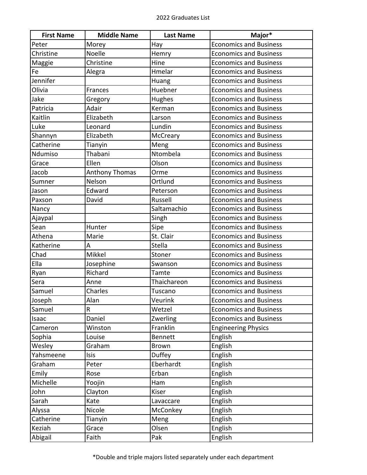| <b>First Name</b> | <b>Middle Name</b>    | <b>Last Name</b> | Major*                        |
|-------------------|-----------------------|------------------|-------------------------------|
| Peter             | Morey                 | Hay              | <b>Economics and Business</b> |
| Christine         | Noelle                | Hemry            | <b>Economics and Business</b> |
| Maggie            | Christine             | Hine             | <b>Economics and Business</b> |
| Fe                | Alegra                | Hmelar           | <b>Economics and Business</b> |
| Jennifer          |                       | Huang            | <b>Economics and Business</b> |
| Olivia            | Frances               | Huebner          | <b>Economics and Business</b> |
| Jake              | Gregory               | Hughes           | <b>Economics and Business</b> |
| Patricia          | Adair                 | Kerman           | <b>Economics and Business</b> |
| Kaitlin           | Elizabeth             | Larson           | <b>Economics and Business</b> |
| Luke              | Leonard               | Lundin           | <b>Economics and Business</b> |
| Shannyn           | Elizabeth             | McCreary         | <b>Economics and Business</b> |
| Catherine         | Tianyin               | Meng             | <b>Economics and Business</b> |
| Ndumiso           | Thabani               | Ntombela         | <b>Economics and Business</b> |
| Grace             | Ellen                 | Olson            | <b>Economics and Business</b> |
| Jacob             | <b>Anthony Thomas</b> | Orme             | <b>Economics and Business</b> |
| Sumner            | Nelson                | Ortlund          | <b>Economics and Business</b> |
| Jason             | Edward                | Peterson         | <b>Economics and Business</b> |
| Paxson            | David                 | Russell          | <b>Economics and Business</b> |
| Nancy             |                       | Saltamachio      | <b>Economics and Business</b> |
| Ajaypal           |                       | Singh            | <b>Economics and Business</b> |
| Sean              | Hunter                | Sipe             | <b>Economics and Business</b> |
| Athena            | Marie                 | St. Clair        | <b>Economics and Business</b> |
| Katherine         | Α                     | Stella           | <b>Economics and Business</b> |
| Chad              | Mikkel                | Stoner           | <b>Economics and Business</b> |
| Ella              | Josephine             | Swanson          | <b>Economics and Business</b> |
| Ryan              | Richard               | Tamte            | <b>Economics and Business</b> |
| Sera              | Anne                  | Thaichareon      | <b>Economics and Business</b> |
| Samuel            | Charles               | Tuscano          | <b>Economics and Business</b> |
| Joseph            | Alan                  | Veurink          | <b>Economics and Business</b> |
| Samuel            | $\mathsf R$           | Wetzel           | <b>Economics and Business</b> |
| Isaac             | Daniel                | Zwerling         | <b>Economics and Business</b> |
| Cameron           | Winston               | Franklin         | <b>Engineering Physics</b>    |
| Sophia            | Louise                | <b>Bennett</b>   | English                       |
| Wesley            | Graham                | <b>Brown</b>     | English                       |
| Yahsmeene         | Isis                  | Duffey           | English                       |
| Graham            | Peter                 | Eberhardt        | English                       |
| Emily             | Rose                  | Erban            | English                       |
| Michelle          | Yoojin                | Ham              | English                       |
| John              | Clayton               | Kiser            | English                       |
| Sarah             | Kate                  | Lavaccare        | English                       |
| Alyssa            | Nicole                | McConkey         | English                       |
| Catherine         | Tianyin               | Meng             | English                       |
| Keziah            | Grace                 | Olsen            | English                       |
| Abigail           | Faith                 | Pak              | English                       |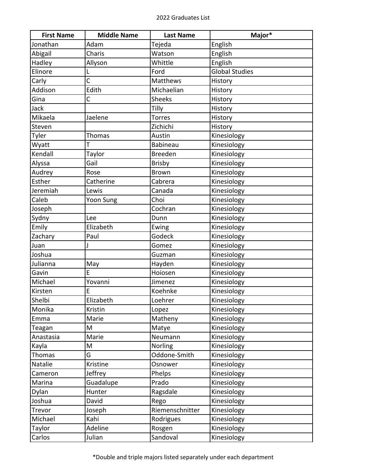| <b>First Name</b> | <b>Middle Name</b> | <b>Last Name</b> | Major*                |
|-------------------|--------------------|------------------|-----------------------|
| Jonathan          | Adam               | Tejeda           | English               |
| Abigail           | Charis             | Watson           | English               |
| Hadley            | Allyson            | Whittle          | English               |
| Elinore           |                    | Ford             | <b>Global Studies</b> |
| Carly             | $\overline{C}$     | Matthews         | History               |
| Addison           | Edith              | Michaelian       | History               |
| Gina              | C                  | <b>Sheeks</b>    | History               |
| Jack              |                    | Tilly            | History               |
| Mikaela           | Jaelene            | <b>Torres</b>    | History               |
| Steven            |                    | Zichichi         | History               |
| Tyler             | <b>Thomas</b>      | Austin           | Kinesiology           |
| Wyatt             | т                  | <b>Babineau</b>  | Kinesiology           |
| Kendall           | Taylor             | <b>Breeden</b>   | Kinesiology           |
| Alyssa            | Gail               | <b>Brisby</b>    | Kinesiology           |
| Audrey            | Rose               | <b>Brown</b>     | Kinesiology           |
| Esther            | Catherine          | Cabrera          | Kinesiology           |
| Jeremiah          | Lewis              | Canada           | Kinesiology           |
| Caleb             | Yoon Sung          | Choi             | Kinesiology           |
| Joseph            |                    | Cochran          | Kinesiology           |
| Sydny             | Lee                | Dunn             | Kinesiology           |
| Emily             | Elizabeth          | Ewing            | Kinesiology           |
| Zachary           | Paul               | Godeck           | Kinesiology           |
| Juan              |                    | Gomez            | Kinesiology           |
| Joshua            |                    | Guzman           | Kinesiology           |
| Julianna          | May                | Hayden           | Kinesiology           |
| Gavin             | E                  | Hoiosen          | Kinesiology           |
| Michael           | Yovanni            | Jimenez          | Kinesiology           |
| Kirsten           | E                  | Koehnke          | Kinesiology           |
| Shelbi            | Elizabeth          | Loehrer          | Kinesiology           |
| Monika            | Kristin            | Lopez            | Kinesiology           |
| Emma              | Marie              | Matheny          | Kinesiology           |
| Teagan            | M                  | Matye            | Kinesiology           |
| Anastasia         | Marie              | Neumann          | Kinesiology           |
| Kayla             | M                  | Norling          | Kinesiology           |
| <b>Thomas</b>     | G                  | Oddone-Smith     | Kinesiology           |
| Natalie           | Kristine           | Osnower          | Kinesiology           |
| Cameron           | Jeffrey            | Phelps           | Kinesiology           |
| Marina            | Guadalupe          | Prado            | Kinesiology           |
| Dylan             | Hunter             | Ragsdale         | Kinesiology           |
| Joshua            | David              | Rego             | Kinesiology           |
| Trevor            | Joseph             | Riemenschnitter  | Kinesiology           |
| Michael           | Kahi               | Rodrigues        | Kinesiology           |
| Taylor            | Adeline            | Rosgen           | Kinesiology           |
| Carlos            | Julian             | Sandoval         | Kinesiology           |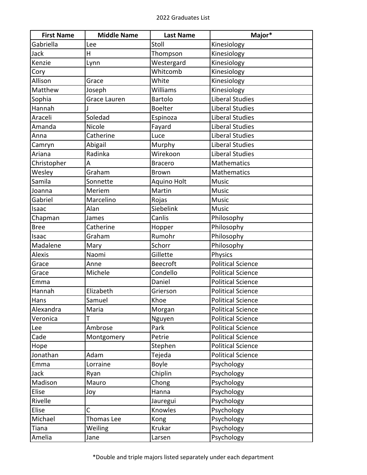| <b>First Name</b> | <b>Middle Name</b> | <b>Last Name</b> | Major*                   |
|-------------------|--------------------|------------------|--------------------------|
| Gabriella         | Lee                | Stoll            | Kinesiology              |
| Jack              | Η                  | Thompson         | Kinesiology              |
| Kenzie            | Lynn               | Westergard       | Kinesiology              |
| Cory              |                    | Whitcomb         | Kinesiology              |
| Allison           | Grace              | White            | Kinesiology              |
| Matthew           | Joseph             | Williams         | Kinesiology              |
| Sophia            | Grace Lauren       | Bartolo          | <b>Liberal Studies</b>   |
| Hannah            |                    | <b>Boelter</b>   | <b>Liberal Studies</b>   |
| Araceli           | Soledad            | Espinoza         | <b>Liberal Studies</b>   |
| Amanda            | Nicole             | Fayard           | <b>Liberal Studies</b>   |
| Anna              | Catherine          | Luce             | <b>Liberal Studies</b>   |
| Camryn            | Abigail            | Murphy           | <b>Liberal Studies</b>   |
| Ariana            | Radinka            | Wirekoon         | <b>Liberal Studies</b>   |
| Christopher       | A                  | <b>Bracero</b>   | <b>Mathematics</b>       |
| Wesley            | Graham             | <b>Brown</b>     | <b>Mathematics</b>       |
| Samila            | Sonnette           | Aquino Holt      | <b>Music</b>             |
| Joanna            | Meriem             | Martin           | <b>Music</b>             |
| Gabriel           | Marcelino          | Rojas            | <b>Music</b>             |
| Isaac             | Alan               | Siebelink        | <b>Music</b>             |
| Chapman           | James              | Canlis           | Philosophy               |
| <b>Bree</b>       | Catherine          | Hopper           | Philosophy               |
| Isaac             | Graham             | Rumohr           | Philosophy               |
| Madalene          | Mary               | Schorr           | Philosophy               |
| <b>Alexis</b>     | Naomi              | Gillette         | <b>Physics</b>           |
| Grace             | Anne               | <b>Beecroft</b>  | <b>Political Science</b> |
| Grace             | Michele            | Condello         | <b>Political Science</b> |
| Emma              |                    | Daniel           | <b>Political Science</b> |
| Hannah            | Elizabeth          | Grierson         | <b>Political Science</b> |
| Hans              | Samuel             | Khoe             | <b>Political Science</b> |
| Alexandra         | Maria              | Morgan           | <b>Political Science</b> |
| Veronica          | T                  | Nguyen           | <b>Political Science</b> |
| Lee               | Ambrose            | Park             | <b>Political Science</b> |
| Cade              | Montgomery         | Petrie           | <b>Political Science</b> |
| Hope              |                    | Stephen          | <b>Political Science</b> |
| Jonathan          | Adam               | Tejeda           | <b>Political Science</b> |
| Emma              | Lorraine           | <b>Boyle</b>     | Psychology               |
| Jack              | Ryan               | Chiplin          | Psychology               |
| Madison           | Mauro              | Chong            | Psychology               |
| Elise             | Joy                | Hanna            | Psychology               |
| Rivelle           |                    | Jauregui         | Psychology               |
| Elise             | C                  | Knowles          | Psychology               |
| Michael           | Thomas Lee         | Kong             | Psychology               |
| Tiana             | Weiling            | Krukar           | Psychology               |
| Amelia            | Jane               | Larsen           | Psychology               |